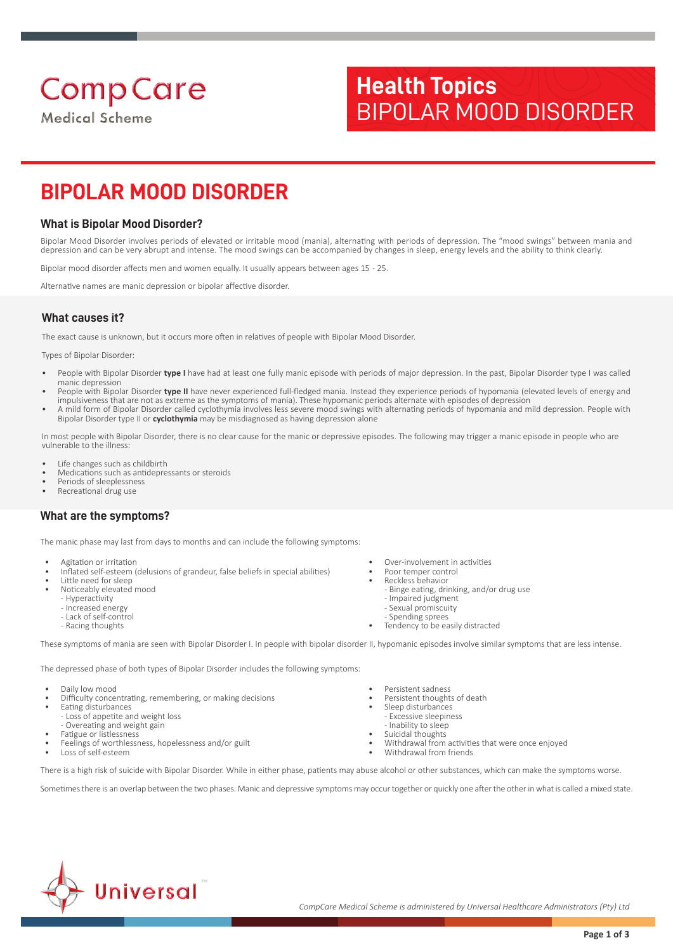## **Medical Scheme**

# **Health Topics** BIPOLAR MOOD DISORDER

## **BIPOLAR MOOD DISORDER**

## **What is Bipolar Mood Disorder?**

Bipolar Mood Disorder involves periods of elevated or irritable mood (mania), alternating with periods of depression. The "mood swings" between mania and depression and can be very abrupt and intense. The mood swings can be accompanied by changes in sleep, energy levels and the ability to think clearly.

Bipolar mood disorder affects men and women equally. It usually appears between ages 15 - 25.

Alternative names are manic depression or bipolar affective disorder.

## **What causes it?**

The exact cause is unknown, but it occurs more often in relatives of people with Bipolar Mood Disorder.

Types of Bipolar Disorder:

- People with Bipolar Disorder **type I** have had at least one fully manic episode with periods of major depression. In the past, Bipolar Disorder type I was called manic depression
- People with Bipolar Disorder **type II** have never experienced full-fledged mania. Instead they experience periods of hypomania (elevated levels of energy and impulsiveness that are not as extreme as the symptoms of mania). These hypomanic periods alternate with episodes of depression
- A mild form of Bipolar Disorder called cyclothymia involves less severe mood swings with alternating periods of hypomania and mild depression. People with Bipolar Disorder type II or **cyclothymia** may be misdiagnosed as having depression alone

In most people with Bipolar Disorder, there is no clear cause for the manic or depressive episodes. The following may trigger a manic episode in people who are vulnerable to the illness:

- Life changes such as childbirth
- Medications such as antidepressants or steroids
- Periods of sleeplessness Recreational drug use

## **What are the symptoms?**

The manic phase may last from days to months and can include the following symptoms:

- Agitation or irritation
- Inflated self-esteem (delusions of grandeur, false beliefs in special abilities)
- Little need for sleep • Noticeably elevated mood
	- Hyperactivity
	- Increased energy
	- Lack of self-control
	- Racing thoughts
- Over-involvement in activities
- Poor temper control • Reckless behavior
	- Binge eating, drinking, and/or drug use
	- Impaired judgment
	- Sexual promiscuity
- Spending sprees Tendency to be easily distracted

These symptoms of mania are seen with Bipolar Disorder I. In people with bipolar disorder II, hypomanic episodes involve similar symptoms that are less intense.

The depressed phase of both types of Bipolar Disorder includes the following symptoms:

- Daily low mood
- Difficulty concentrating, remembering, or making decisions
- Eating disturbances - Loss of appetite and weight loss
- Overeating and weight gain
- Fatigue or listlessness
- Feelings of worthlessness, hopelessness and/or guilt
- Loss of self-esteem
- Persistent sadness
- Persistent thoughts of death
- Sleep disturbances
- Excessive sleepiness - Inability to sleep
- Suicidal thoughts
- Withdrawal from activities that were once enjoyed
- Withdrawal from friends

There is a high risk of suicide with Bipolar Disorder. While in either phase, patients may abuse alcohol or other substances, which can make the symptoms worse.

Sometimes there is an overlap between the two phases. Manic and depressive symptoms may occur together or quickly one after the other in what is called a mixed state.

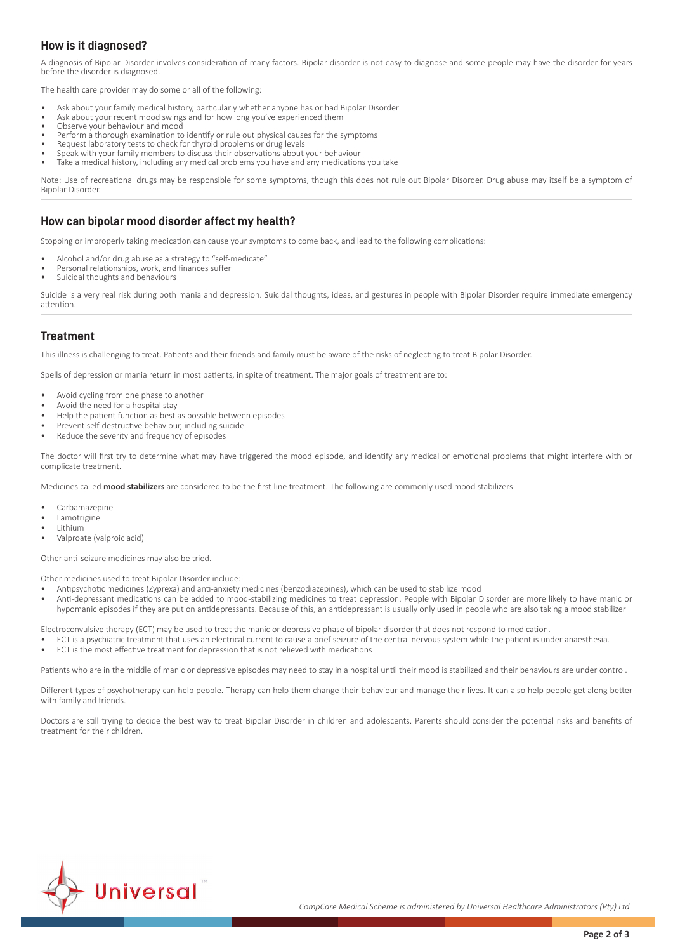## **How is it diagnosed?**

A diagnosis of Bipolar Disorder involves consideration of many factors. Bipolar disorder is not easy to diagnose and some people may have the disorder for years before the disorder is diagnosed.

The health care provider may do some or all of the following:

- Ask about your family medical history, particularly whether anyone has or had Bipolar Disorder
- Ask about your recent mood swings and for how long you've experienced them
- Observe your behaviour and mood
- Perform a thorough examination to identify or rule out physical causes for the symptoms
- Request laboratory tests to check for thyroid problems or drug levels • Speak with your family members to discuss their observations about your behaviour
- Take a medical history, including any medical problems you have and any medications you take

Note: Use of recreational drugs may be responsible for some symptoms, though this does not rule out Bipolar Disorder. Drug abuse may itself be a symptom of Bipolar Disorder.

## **How can bipolar mood disorder affect my health?**

Stopping or improperly taking medication can cause your symptoms to come back, and lead to the following complications:

- Alcohol and/or drug abuse as a strategy to "self-medicate"
- Personal relationships, work, and finances suffer
- Suicidal thoughts and behaviours

Suicide is a very real risk during both mania and depression. Suicidal thoughts, ideas, and gestures in people with Bipolar Disorder require immediate emergency attention.

#### **Treatment**

This illness is challenging to treat. Patients and their friends and family must be aware of the risks of neglecting to treat Bipolar Disorder.

Spells of depression or mania return in most patients, in spite of treatment. The major goals of treatment are to:

- Avoid cycling from one phase to another
- Avoid the need for a hospital stay
- Help the patient function as best as possible between episodes
- Prevent self-destructive behaviour, including suicide
- Reduce the severity and frequency of episodes

The doctor will first try to determine what may have triggered the mood episode, and identify any medical or emotional problems that might interfere with or complicate treatment.

Medicines called **mood stabilizers** are considered to be the first-line treatment. The following are commonly used mood stabilizers:

- Carbamazepine
- Lamotrigine
- Lithium
- Valproate (valproic acid)

Other anti-seizure medicines may also be tried.

Other medicines used to treat Bipolar Disorder include:

- Antipsychotic medicines (Zyprexa) and anti-anxiety medicines (benzodiazepines), which can be used to stabilize mood
- Anti-depressant medications can be added to mood-stabilizing medicines to treat depression. People with Bipolar Disorder are more likely to have manic or hypomanic episodes if they are put on antidepressants. Because of this, an antidepressant is usually only used in people who are also taking a mood stabilizer

Electroconvulsive therapy (ECT) may be used to treat the manic or depressive phase of bipolar disorder that does not respond to medication.

- ECT is a psychiatric treatment that uses an electrical current to cause a brief seizure of the central nervous system while the patient is under anaesthesia.
- ECT is the most effective treatment for depression that is not relieved with medications

Patients who are in the middle of manic or depressive episodes may need to stay in a hospital until their mood is stabilized and their behaviours are under control.

Different types of psychotherapy can help people. Therapy can help them change their behaviour and manage their lives. It can also help people get along better with family and friends.

Doctors are still trying to decide the best way to treat Bipolar Disorder in children and adolescents. Parents should consider the potential risks and benefits of treatment for their children.